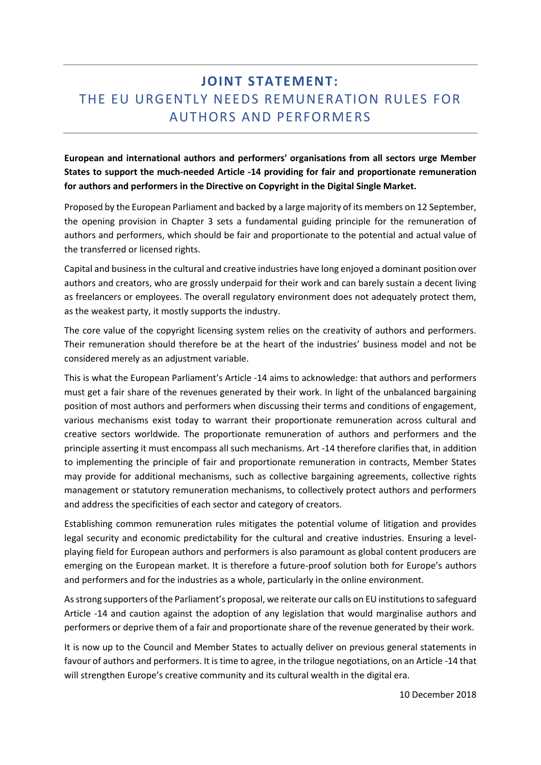## **JOINT STATEMENT:**  THE EU URGENTLY NEEDS REMUNERATION RULES FOR AUTHORS AND PERFORMERS

**European and international authors and performers' organisations from all sectors urge Member States to support the much-needed Article -14 providing for fair and proportionate remuneration for authors and performers in the Directive on Copyright in the Digital Single Market.**

Proposed by the European Parliament and backed by a large majority of its members on 12 September, the opening provision in Chapter 3 sets a fundamental guiding principle for the remuneration of authors and performers, which should be fair and proportionate to the potential and actual value of the transferred or licensed rights.

Capital and business in the cultural and creative industries have long enjoyed a dominant position over authors and creators, who are grossly underpaid for their work and can barely sustain a decent living as freelancers or employees. The overall regulatory environment does not adequately protect them, as the weakest party, it mostly supports the industry.

The core value of the copyright licensing system relies on the creativity of authors and performers. Their remuneration should therefore be at the heart of the industries' business model and not be considered merely as an adjustment variable.

This is what the European Parliament's Article -14 aims to acknowledge: that authors and performers must get a fair share of the revenues generated by their work. In light of the unbalanced bargaining position of most authors and performers when discussing their terms and conditions of engagement, various mechanisms exist today to warrant their proportionate remuneration across cultural and creative sectors worldwide. The proportionate remuneration of authors and performers and the principle asserting it must encompass all such mechanisms. Art -14 therefore clarifies that, in addition to implementing the principle of fair and proportionate remuneration in contracts, Member States may provide for additional mechanisms, such as collective bargaining agreements, collective rights management or statutory remuneration mechanisms, to collectively protect authors and performers and address the specificities of each sector and category of creators.

Establishing common remuneration rules mitigates the potential volume of litigation and provides legal security and economic predictability for the cultural and creative industries. Ensuring a levelplaying field for European authors and performers is also paramount as global content producers are emerging on the European market. It is therefore a future-proof solution both for Europe's authors and performers and for the industries as a whole, particularly in the online environment.

As strong supporters of the Parliament's proposal, we reiterate our calls on EU institutions to safeguard Article -14 and caution against the adoption of any legislation that would marginalise authors and performers or deprive them of a fair and proportionate share of the revenue generated by their work.

It is now up to the Council and Member States to actually deliver on previous general statements in favour of authors and performers. It is time to agree, in the trilogue negotiations, on an Article -14 that will strengthen Europe's creative community and its cultural wealth in the digital era.